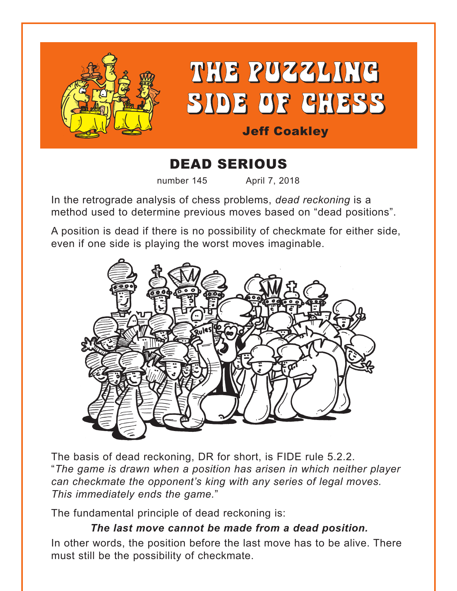

## DEAD SERIOUS

number 145 April 7, 2018

In the retrograde analysis of chess problems, *dead reckoning* is a method used to determine previous moves based on "dead positions".

A position is dead if there is no possibility of checkmate for either side, even if one side is playing the worst moves imaginable.



The basis of dead reckoning, DR for short, is FIDE rule 5.2.2. "*The game is drawn when a position has arisen in which neither player can checkmate the opponent's king with any series of legal moves. This immediately ends the game.*"

The fundamental principle of dead reckoning is:

## *The last move cannot be made from a dead position.*

In other words, the position before the last move has to be alive. There must still be the possibility of checkmate.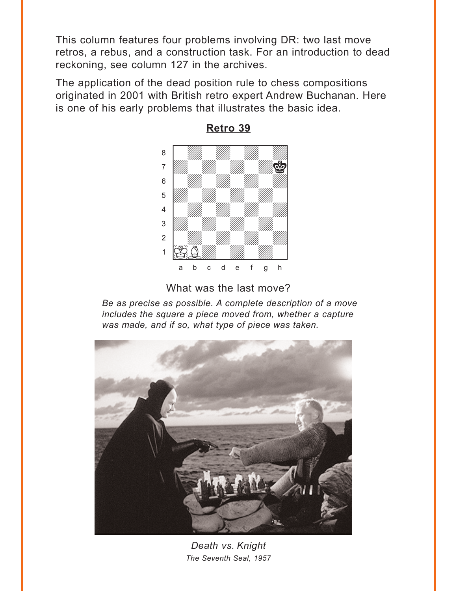<span id="page-1-0"></span>This column features four problems involving DR: two last move retros, a rebus, and a construction task. For an introduction to dead reckoning, see column 127 in the archives.

The application of the dead position rule to chess compositions originated in 2001 with British retro expert Andrew Buchanan. Here is one of his early problems that illustrates the basic idea.



**[Retro 39](#page-5-0)**

What was the last move?

*Be as precise as possible. A complete description of a move includes the square a piece moved from, whether a capture was made, and if so, what type of piece was taken.*



*Death vs. Knight The Seventh Seal, 1957*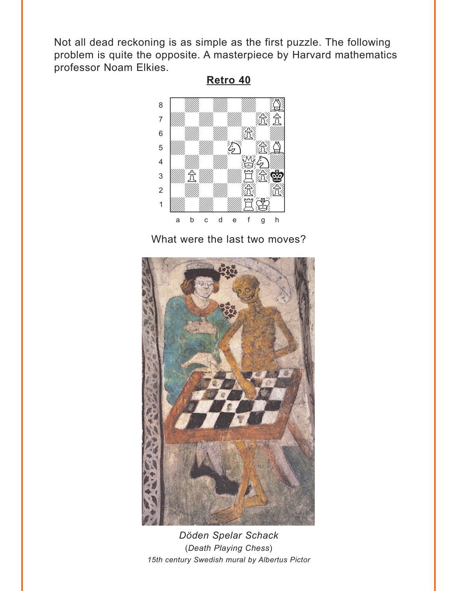<span id="page-2-0"></span>Not all dead reckoning is as simple as the first puzzle. The following problem is quite the opposite. A masterpiece by Harvard mathematics professor Noam Elkies.

**[Retro 40](#page-6-0)**



What were the last two moves?



*Döden Spelar Schack* (*Death Playing Chess*) *15th century Swedish mural by Albertus Pictor*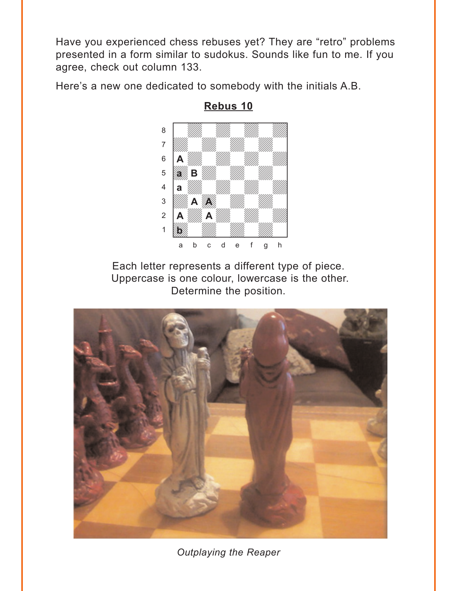<span id="page-3-0"></span>Have you experienced chess rebuses yet? They are "retro" problems presented in a form similar to sudokus. Sounds like fun to me. If you agree, check out column 133.

Here's a new one dedicated to somebody with the initials A.B.



**Rebus 10**

Each letter represents a different type of piece. Uppercase is one colour, lowercase is the other. Determine the position.



*Outplaying the Reaper*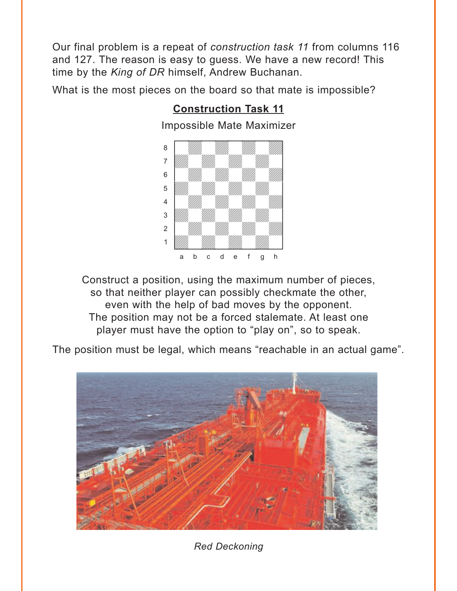<span id="page-4-0"></span>Our final problem is a repeat of *construction task 11* from columns 116 and 127. The reason is easy to guess. We have a new record! This time by the *King of DR* himself, Andrew Buchanan.

What is the most pieces on the board so that mate is impossible?



**[Construction Task 11](#page-10-0)**

Construct a position, using the maximum number of pieces, so that neither player can possibly checkmate the other, even with the help of bad moves by the opponent. The position may not be a forced stalemate. At least one player must have the option to "play on", so to speak.

The position must be legal, which means "reachable in an actual game".



*Red Deckoning*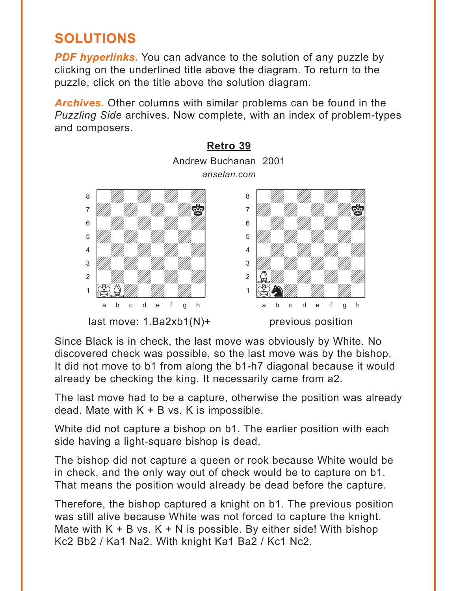## <span id="page-5-0"></span>**SOLUTIONS**

*PDF hyperlinks***.** You can advance to the solution of any puzzle by clicking on the underlined title above the diagram. To return to the puzzle, click on the title above the solution diagram.

*Archives***.** Other columns with similar problems can be found in the *Puzzling Side* archives. Now complete, with an index of problem-types and composers.



Since Black is in check, the last move was obviously by White. No discovered check was possible, so the last move was by the bishop. It did not move to b1 from along the b1-h7 diagonal because it would already be checking the king. It necessarily came from a2.

The last move had to be a capture, otherwise the position was already dead. Mate with  $K + B$  vs. K is impossible.

White did not capture a bishop on b1. The earlier position with each side having a light-square bishop is dead.

The bishop did not capture a queen or rook because White would be in check, and the only way out of check would be to capture on b1. That means the position would already be dead before the capture.

Therefore, the bishop captured a knight on b1. The previous position was still alive because White was not forced to capture the knight. Mate with  $K + B$  vs.  $K + N$  is possible. By either side! With bishop Kc2 Bb2 / Ka1 Na2. With knight Ka1 Ba2 / Kc1 Nc2.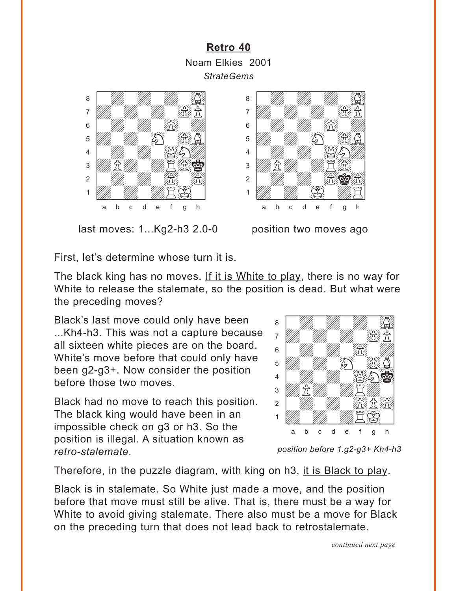## <span id="page-6-0"></span>**[Retro 40](#page-2-0)** Noam Elkies 2001 *StrateGems* where  $\frac{1}{2}$  we have the set of  $\frac{1}{2}$



last moves: 1...Kg2-h3 2.0-0 position two moves ago



First, let's determine whose turn it is.

The black king has no moves. If it is White to play, there is no way for White to release the stalemate, so the position is dead. But what were the preceding moves? with the sum of the sum of the sum of the sum of the sum of the sum of the sum of the sum of the sum of the sum of the sum of the sum of the sum of the sum of the sum of the sum of the sum of the sum of the sum of the sum

Black's last move could only have been ...Kh4-h3. This was not a capture because all sixteen white pieces are on the board. White's move before that could only have been g2-g3+. Now consider the position before those two moves.

Black had no move to reach this position. The black king would have been in an impossible check on g3 or h3. So the position is illegal. A situation known as *retro-stalemate*.



*position before 1.g2-g3+ Kh4-h3*

Therefore, in the puzzle diagram, with king on h3, it is Black to play.

Black is in stalemate. So White just made a move, and the position before that move must still be alive. That is, there must be a way for White to avoid giving stalemate. There also must be a move for Black on the preceding turn that does not lead back to retrostalemate.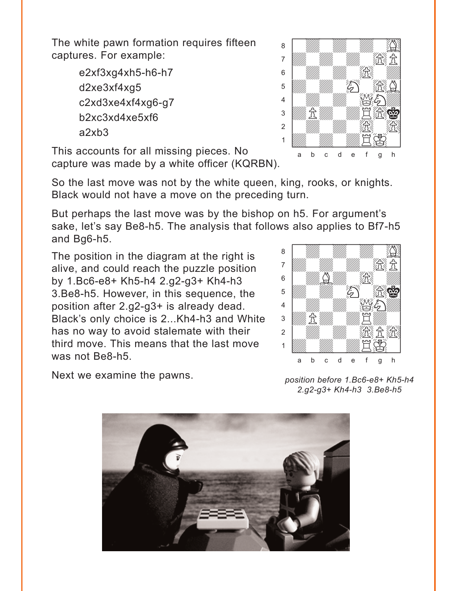The white pawn formation requires fifteen captures. For example:

> e2xf3xg4xh5-h6-h7 d2xe3xf4xg5 c2xd3xe4xf4xg6-g7 b2xc3xd4xe5xf6 a2xb3

This accounts for all missing pieces. No capture was made by a white officer (KQRBN).

So the last move was not by the white queen, king, rooks, or knights. Black would not have a move on the preceding turn.

But perhaps the last move was by the bishop on h5. For argument's sake, let's say Be8-h5. The analysis that follows also applies to Bf7-h5 and Bg6-h5. where  $\frac{w}{2}$  is the set of  $\frac{w}{2}$ 

The position in the diagram at the right is alive, and could reach the puzzle position by 1.Bc6-e8+ Kh5-h4 2.g2-g3+ Kh4-h3 3.Be8-h5. However, in this sequence, the position after 2.g2-g3+ is already dead. Black's only choice is 2...Kh4-h3 and White has no way to avoid stalemate with their third move. This means that the last move was not Be8-h5.

Next we examine the pawns.









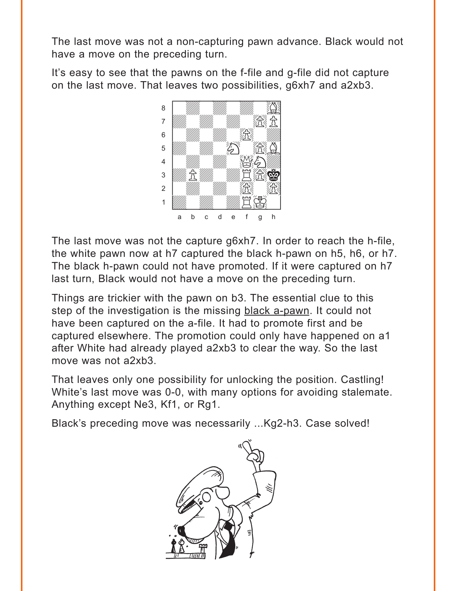The last move was not a non-capturing pawn advance. Black would not have a move on the preceding turn.

It's easy to see that the pawns on the f-file and g-file did not capture on the last move. That leaves two possibilities, g6xh7 and a2xb3.



The last move was not the capture g6xh7. In order to reach the h-file, the white pawn now at h7 captured the black h-pawn on h5, h6, or h7. The black h-pawn could not have promoted. If it were captured on h7 last turn, Black would not have a move on the preceding turn.

Things are trickier with the pawn on b3. The essential clue to this step of the investigation is the missing black a-pawn. It could not have been captured on the a-file. It had to promote first and be captured elsewhere. The promotion could only have happened on a1 after White had already played a2xb3 to clear the way. So the last move was not a2xb3.

That leaves only one possibility for unlocking the position. Castling! White's last move was 0-0, with many options for avoiding stalemate. Anything except Ne3, Kf1, or Rg1.

Black's preceding move was necessarily ...Kg2-h3. Case solved!

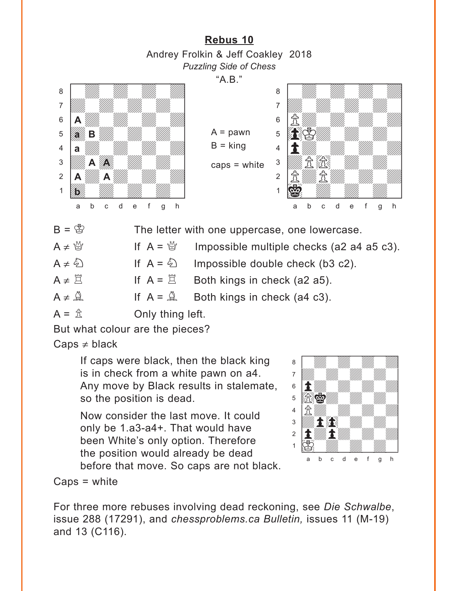**[Rebus 10](#page-3-0)** Andrey Frolkin & Jeff Coakley 2018 *Puzzling Side of Chess*

"A.B."

 $A =$  pawn  $B =$  king

<span id="page-9-0"></span>



- $B = \mathbb{S}$  The letter with one uppercase, one lowercase.
- $A \neq \frac{M}{Q}$  If  $A = \frac{M}{Q}$  Impossible multiple checks (a2 a4 a5 c3).

 $A \neq \bigcirc$  If  $A = \bigcirc$  Impossible double check (b3 c2).

 $A \neq \Xi$  If  $A = \Xi$  Both kings in check (a2 a5).

 $A \neq \mathbb{A}$  If  $A = \mathbb{A}$  Both kings in check (a4 c3).

 $A = \hat{\mathbb{Z}}$  Only thing left.

But what colour are the pieces?

 $Caps \neq black$ 

If caps were black, then the black king is in check from a white pawn on a4. Any move by Black results in stalemate, so the position is dead.

Now consider the last move. It could only be 1.a3-a4+. That would have been White's only option. Therefore the position would already be dead before that move. So caps are not black.



Caps = white

For three more rebuses involving dead reckoning, see *Die Schwalbe*, issue 288 (17291), and *chessproblems.ca Bulletin,* issues 11 (M-19) and 13 (C116).